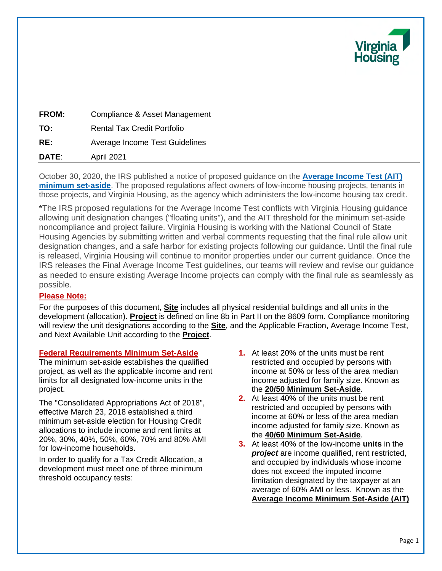

| DATE:        | <b>April 2021</b>                  |  |
|--------------|------------------------------------|--|
| RE:          | Average Income Test Guidelines     |  |
| TO:          | <b>Rental Tax Credit Portfolio</b> |  |
| <b>FROM:</b> | Compliance & Asset Management      |  |

October 30, 2020, the IRS published a notice of proposed guidance on the **Average Income Test (AIT) minimum set-aside**. The proposed regulations affect owners of low-income housing projects, tenants in those projects, and Virginia Housing, as the agency which administers the low-income housing tax credit.

**\***The IRS proposed regulations for the Average Income Test conflicts with Virginia Housing guidance allowing unit designation changes ("floating units"), and the AIT threshold for the minimum set-aside noncompliance and project failure. Virginia Housing is working with the National Council of State Housing Agencies by submitting written and verbal comments requesting that the final rule allow unit designation changes, and a safe harbor for existing projects following our guidance. Until the final rule is released, Virginia Housing will continue to monitor properties under our current guidance. Once the IRS releases the Final Average Income Test guidelines, our teams will review and revise our guidance as needed to ensure existing Average Income projects can comply with the final rule as seamlessly as possible.

# **Please Note:**

For the purposes of this document, **Site** includes all physical residential buildings and all units in the development (allocation). **Project** is defined on line 8b in Part II on the 8609 form. Compliance monitoring will review the unit designations according to the **Site**, and the Applicable Fraction, Average Income Test, and Next Available Unit according to the **Project**.

# **Federal Requirements Minimum Set-Aside**

The minimum set-aside establishes the qualified project, as well as the applicable income and rent limits for all designated low-income units in the project.

The "Consolidated Appropriations Act of 2018", effective March 23, 2018 established a third minimum set-aside election for Housing Credit allocations to include income and rent limits at 20%, 30%, 40%, 50%, 60%, 70% and 80% AMI for low-income households.

In order to qualify for a Tax Credit Allocation, a development must meet one of three minimum threshold occupancy tests:

- **1.** At least 20% of the units must be rent restricted and occupied by persons with income at 50% or less of the area median income adjusted for family size. Known as the **20/50 Minimum Set-Aside**.
- **2.** At least 40% of the units must be rent restricted and occupied by persons with income at 60% or less of the area median income adjusted for family size. Known as the **40/60 Minimum Set-Aside**.
- **3.** At least 40% of the low-income **units** in the *project* are income qualified, rent restricted, and occupied by individuals whose income does not exceed the imputed income limitation designated by the taxpayer at an average of 60% AMI or less. Known as the **Average Income Minimum Set-Aside (AIT)**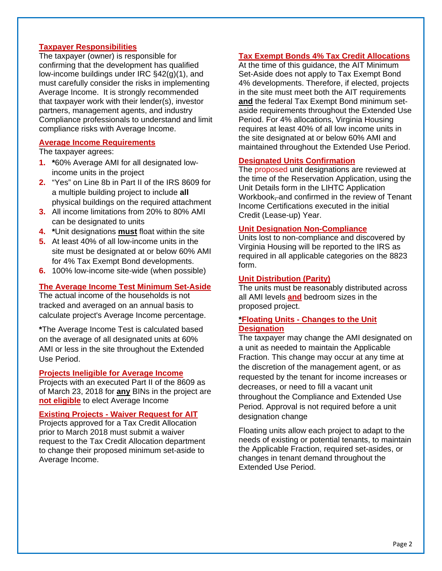## **Taxpayer Responsibilities**

The taxpayer (owner) is responsible for confirming that the development has qualified low-income buildings under IRC §42(g)(1), and must carefully consider the risks in implementing Average Income. It is strongly recommended that taxpayer work with their lender(s), investor partners, management agents, and industry Compliance professionals to understand and limit compliance risks with Average Income.

#### **Average Income Requirements**

The taxpayer agrees:

- **1. \***60% Average AMI for all designated lowincome units in the project
- **2.** "Yes" on Line 8b in Part II of the IRS 8609 for a multiple building project to include **all** physical buildings on the required attachment
- **3.** All income limitations from 20% to 80% AMI can be designated to units
- **4. \***Unit designations **must** float within the site
- **5.** At least 40% of all low-income units in the site must be designated at or below 60% AMI for 4% Tax Exempt Bond developments.
- **6.** 100% low-income site-wide (when possible)

### **The Average Income Test Minimum Set-Aside**

The actual income of the households is not tracked and averaged on an annual basis to calculate project's Average Income percentage.

**\***The Average Income Test is calculated based on the average of all designated units at 60% AMI or less in the site throughout the Extended Use Period.

### **Projects Ineligible for Average Income**

Projects with an executed Part II of the 8609 as of March 23, 2018 for **any** BINs in the project are **not eligible** to elect Average Income

#### **Existing Projects - Waiver Request for AIT**

Projects approved for a Tax Credit Allocation prior to March 2018 must submit a waiver request to the Tax Credit Allocation department to change their proposed minimum set-aside to Average Income.

# **Tax Exempt Bonds 4% Tax Credit Allocations**

At the time of this guidance, the AIT Minimum Set-Aside does not apply to Tax Exempt Bond 4% developments. Therefore, if elected, projects in the site must meet both the AIT requirements **and** the federal Tax Exempt Bond minimum setaside requirements throughout the Extended Use Period. For 4% allocations, Virginia Housing requires at least 40% of all low income units in the site designated at or below 60% AMI and maintained throughout the Extended Use Period.

## **Designated Units Confirmation**

The proposed unit designations are reviewed at the time of the Reservation Application, using the Unit Details form in the LIHTC Application Workbook-and confirmed in the review of Tenant Income Certifications executed in the initial Credit (Lease-up) Year.

#### **Unit Designation Non-Compliance**

Units lost to non-compliance and discovered by Virginia Housing will be reported to the IRS as required in all applicable categories on the 8823 form.

#### **Unit Distribution (Parity)**

The units must be reasonably distributed across all AMI levels **and** bedroom sizes in the proposed project.

# **\*Floating Units - Changes to the Unit Designation**

The taxpayer may change the AMI designated on a unit as needed to maintain the Applicable Fraction. This change may occur at any time at the discretion of the management agent, or as requested by the tenant for income increases or decreases, or need to fill a vacant unit throughout the Compliance and Extended Use Period. Approval is not required before a unit designation change

Floating units allow each project to adapt to the needs of existing or potential tenants, to maintain the Applicable Fraction, required set-asides, or changes in tenant demand throughout the Extended Use Period.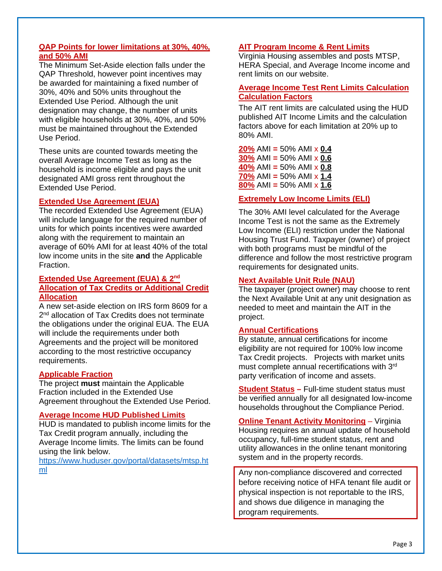## **QAP Points for lower limitations at 30%, 40%, and 50% AMI**

The Minimum Set-Aside election falls under the QAP Threshold, however point incentives may be awarded for maintaining a fixed number of 30%, 40% and 50% units throughout the Extended Use Period. Although the unit designation may change, the number of units with eligible households at 30%, 40%, and 50% must be maintained throughout the Extended Use Period.

These units are counted towards meeting the overall Average Income Test as long as the household is income eligible and pays the unit designated AMI gross rent throughout the Extended Use Period.

## **Extended Use Agreement (EUA)**

The recorded Extended Use Agreement (EUA) will include language for the required number of units for which points incentives were awarded along with the requirement to maintain an average of 60% AMI for at least 40% of the total low income units in the site **and** the Applicable Fraction.

## **Extended Use Agreement (EUA) & 2nd Allocation of Tax Credits or Additional Credit Allocation**

A new set-aside election on IRS form 8609 for a 2<sup>nd</sup> allocation of Tax Credits does not terminate the obligations under the original EUA. The EUA will include the requirements under both Agreements and the project will be monitored according to the most restrictive occupancy requirements.

### **Applicable Fraction**

The project **must** maintain the Applicable Fraction included in the Extended Use Agreement throughout the Extended Use Period.

## **Average Income HUD Published Limits**

HUD is mandated to publish income limits for the Tax Credit program annually, including the Average Income limits. The limits can be found using the link below.

https://www.huduser.gov/portal/datasets/mtsp.ht ml

# **AIT Program Income & Rent Limits**

Virginia Housing assembles and posts MTSP, HERA Special, and Average Income income and rent limits on our website.

## **Average Income Test Rent Limits Calculation Calculation Factors**

The AIT rent limits are calculated using the HUD published AIT Income Limits and the calculation factors above for each limitation at 20% up to 80% AMI.

**20%** AMI **=** 50% AMI x **0.4 30%** AMI **=** 50% AMI x **0.6 40%** AMI **=** 50% AMI x **0.8 70%** AMI **=** 50% AMI x **1.4 80%** AMI **=** 50% AMI x **1.6** 

# **Extremely Low Income Limits (ELI)**

The 30% AMI level calculated for the Average Income Test is not the same as the Extremely Low Income (ELI) restriction under the National Housing Trust Fund. Taxpayer (owner) of project with both programs must be mindful of the difference and follow the most restrictive program requirements for designated units.

## **Next Available Unit Rule (NAU)**

The taxpayer (project owner) may choose to rent the Next Available Unit at any unit designation as needed to meet and maintain the AIT in the project.

# **Annual Certifications**

By statute, annual certifications for income eligibility are not required for 100% low income Tax Credit projects. Projects with market units must complete annual recertifications with 3rd party verification of income and assets.

**Student Status –** Full-time student status must be verified annually for all designated low-income households throughout the Compliance Period.

**Online Tenant Activity Monitoring** – Virginia Housing requires an annual update of household occupancy, full-time student status, rent and utility allowances in the online tenant monitoring system and in the property records.

Any non-compliance discovered and corrected before receiving notice of HFA tenant file audit or physical inspection is not reportable to the IRS, and shows due diligence in managing the program requirements.